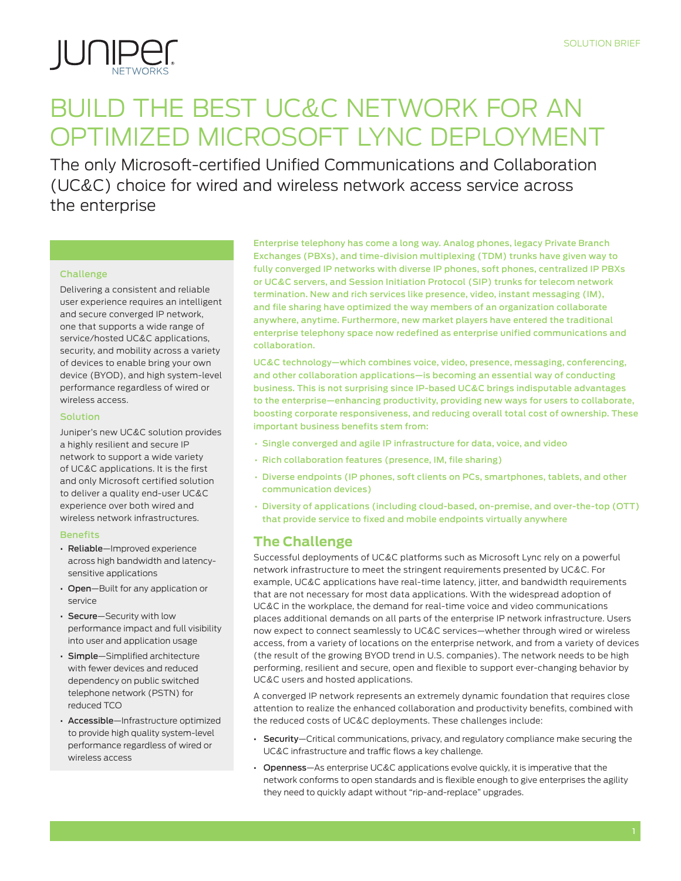

# Build the Best UC&C Network for an Optimized Microsoft Lync Deployment

The only Microsoft-certified Unified Communications and Collaboration (UC&C) choice for wired and wireless network access service across the enterprise

#### Challenge

Delivering a consistent and reliable user experience requires an intelligent and secure converged IP network, one that supports a wide range of service/hosted UC&C applications, security, and mobility across a variety of devices to enable bring your own device (BYOD), and high system-level performance regardless of wired or wireless access.

#### Solution

Juniper's new UC&C solution provides a highly resilient and secure IP network to support a wide variety of UC&C applications. It is the first and only Microsoft certified solution to deliver a quality end-user UC&C experience over both wired and wireless network infrastructures.

#### **Benefits**

- Reliable—Improved experience across high bandwidth and latencysensitive applications
- Open-Built for any application or service
- Secure—Security with low performance impact and full visibility into user and application usage
- Simple—Simplified architecture with fewer devices and reduced dependency on public switched telephone network (PSTN) for reduced TCO
- Accessible—Infrastructure optimized to provide high quality system-level performance regardless of wired or wireless access

Enterprise telephony has come a long way. Analog phones, legacy Private Branch Exchanges (PBXs), and time-division multiplexing (TDM) trunks have given way to fully converged IP networks with diverse IP phones, soft phones, centralized IP PBXs or UC&C servers, and Session Initiation Protocol (SIP) trunks for telecom network termination. New and rich services like presence, video, instant messaging (IM), and file sharing have optimized the way members of an organization collaborate anywhere, anytime. Furthermore, new market players have entered the traditional enterprise telephony space now redefined as enterprise unified communications and collaboration.

UC&C technology—which combines voice, video, presence, messaging, conferencing, and other collaboration applications—is becoming an essential way of conducting business. This is not surprising since IP-based UC&C brings indisputable advantages to the enterprise—enhancing productivity, providing new ways for users to collaborate, boosting corporate responsiveness, and reducing overall total cost of ownership. These important business benefits stem from:

- Single converged and agile IP infrastructure for data, voice, and video
- Rich collaboration features (presence, IM, file sharing)
- Diverse endpoints (IP phones, soft clients on PCs, smartphones, tablets, and other communication devices)
- Diversity of applications (including cloud-based, on-premise, and over-the-top (OTT) that provide service to fixed and mobile endpoints virtually anywhere

# **The Challenge**

Successful deployments of UC&C platforms such as Microsoft Lync rely on a powerful network infrastructure to meet the stringent requirements presented by UC&C. For example, UC&C applications have real-time latency, jitter, and bandwidth requirements that are not necessary for most data applications. With the widespread adoption of UC&C in the workplace, the demand for real-time voice and video communications places additional demands on all parts of the enterprise IP network infrastructure. Users now expect to connect seamlessly to UC&C services—whether through wired or wireless access, from a variety of locations on the enterprise network, and from a variety of devices (the result of the growing BYOD trend in U.S. companies). The network needs to be high performing, resilient and secure, open and flexible to support ever-changing behavior by UC&C users and hosted applications.

A converged IP network represents an extremely dynamic foundation that requires close attention to realize the enhanced collaboration and productivity benefits, combined with the reduced costs of UC&C deployments. These challenges include:

- Security—Critical communications, privacy, and regulatory compliance make securing the UC&C infrastructure and traffic flows a key challenge.
- Openness—As enterprise UC&C applications evolve quickly, it is imperative that the network conforms to open standards and is flexible enough to give enterprises the agility they need to quickly adapt without "rip-and-replace" upgrades.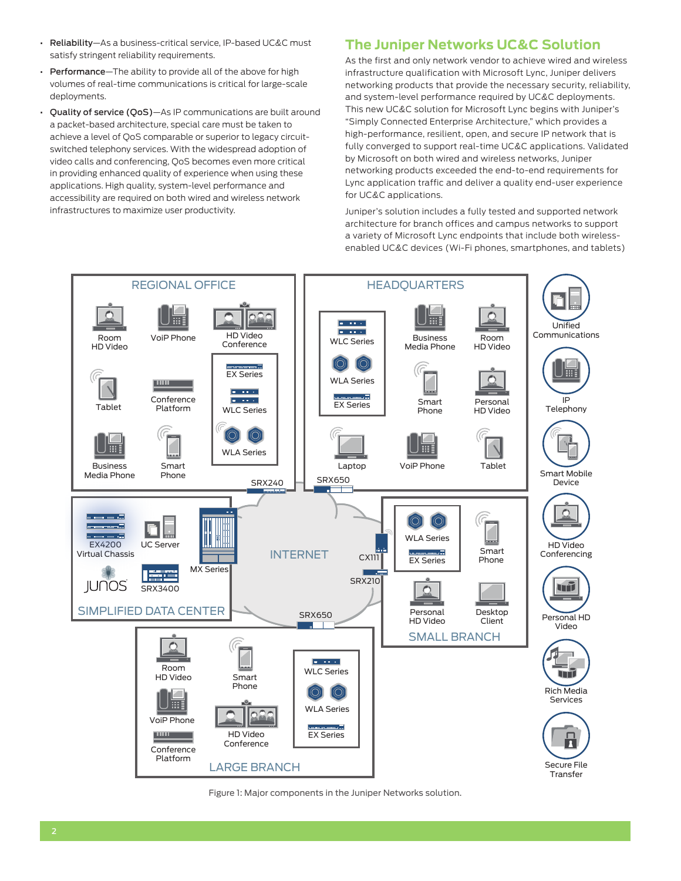- Reliability—As a business-critical service, IP-based UC&C must satisfy stringent reliability requirements.
- Performance—The ability to provide all of the above for high volumes of real-time communications is critical for large-scale deployments.
- Quality of service (QoS)—As IP communications are built around a packet-based architecture, special care must be taken to achieve a level of QoS comparable or superior to legacy circuitswitched telephony services. With the widespread adoption of video calls and conferencing, QoS becomes even more critical in providing enhanced quality of experience when using these applications. High quality, system-level performance and accessibility are required on both wired and wireless network infrastructures to maximize user productivity.

## **The Juniper Networks UC&C Solution**

As the first and only network vendor to achieve wired and wireless infrastructure qualification with Microsoft Lync, Juniper delivers networking products that provide the necessary security, reliability, and system-level performance required by UC&C deployments. This new UC&C solution for Microsoft Lync begins with Juniper's "Simply Connected Enterprise Architecture," which provides a high-performance, resilient, open, and secure IP network that is fully converged to support real-time UC&C applications. Validated by Microsoft on both wired and wireless networks, Juniper networking products exceeded the end-to-end requirements for Lync application traffic and deliver a quality end-user experience for UC&C applications.

Juniper's solution includes a fully tested and supported network architecture for branch offices and campus networks to support a variety of Microsoft Lync endpoints that include both wirelessenabled UC&C devices (Wi-Fi phones, smartphones, and tablets)



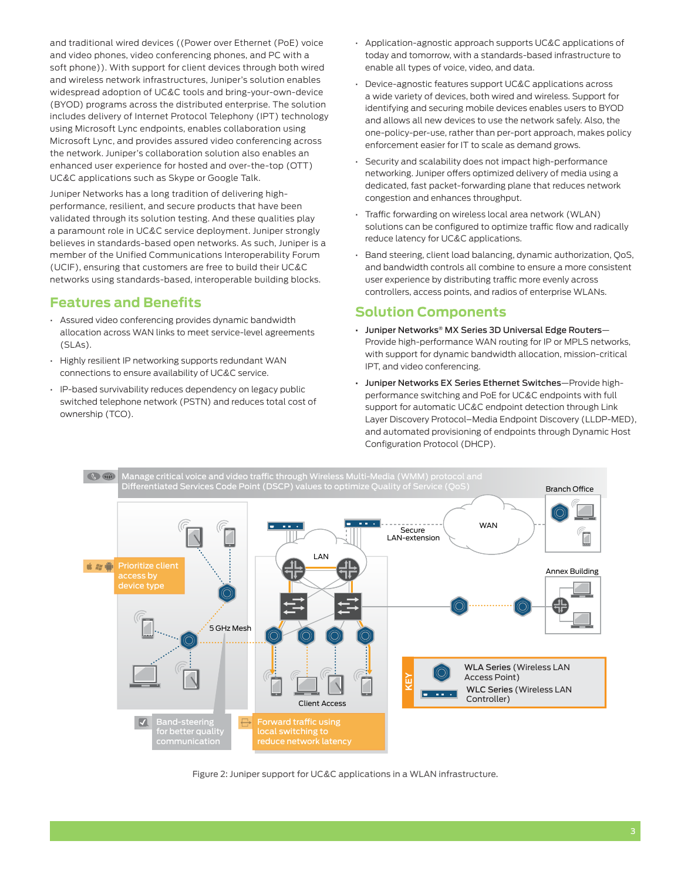and traditional wired devices ((Power over Ethernet (PoE) voice and video phones, video conferencing phones, and PC with a soft phone)). With support for client devices through both wired and wireless network infrastructures, Juniper's solution enables widespread adoption of UC&C tools and bring-your-own-device (BYOD) programs across the distributed enterprise. The solution includes delivery of Internet Protocol Telephony (IPT) technology using Microsoft Lync endpoints, enables collaboration using Microsoft Lync, and provides assured video conferencing across the network. Juniper's collaboration solution also enables an enhanced user experience for hosted and over-the-top (OTT) UC&C applications such as Skype or Google Talk.

Juniper Networks has a long tradition of delivering highperformance, resilient, and secure products that have been validated through its solution testing. And these qualities play a paramount role in UC&C service deployment. Juniper strongly believes in standards-based open networks. As such, Juniper is a member of the Unified Communications Interoperability Forum (UCIF), ensuring that customers are free to build their UC&C networks using standards-based, interoperable building blocks.

# **Features and Benefits**

- Assured video conferencing provides dynamic bandwidth allocation across WAN links to meet service-level agreements (SLAs).
- Highly resilient IP networking supports redundant WAN connections to ensure availability of UC&C service.
- IP-based survivability reduces dependency on legacy public switched telephone network (PSTN) and reduces total cost of ownership (TCO).
- Application-agnostic approach supports UC&C applications of today and tomorrow, with a standards-based infrastructure to enable all types of voice, video, and data.
- Device-agnostic features support UC&C applications across a wide variety of devices, both wired and wireless. Support for identifying and securing mobile devices enables users to BYOD and allows all new devices to use the network safely. Also, the one-policy-per-use, rather than per-port approach, makes policy enforcement easier for IT to scale as demand grows.
- Security and scalability does not impact high-performance networking. Juniper offers optimized delivery of media using a dedicated, fast packet-forwarding plane that reduces network congestion and enhances throughput.
- Traffic forwarding on wireless local area network (WLAN) solutions can be configured to optimize traffic flow and radically reduce latency for UC&C applications.
- Band steering, client load balancing, dynamic authorization, QoS, and bandwidth controls all combine to ensure a more consistent user experience by distributing traffic more evenly across controllers, access points, and radios of enterprise WLANs.

#### **Solution Components**

- Juniper Networks® MX Series 3D Universal Edge Routers— Provide high-performance WAN routing for IP or MPLS networks, with support for dynamic bandwidth allocation, mission-critical IPT, and video conferencing.
- Juniper Networks EX Series Ethernet Switches—Provide highperformance switching and PoE for UC&C endpoints with full support for automatic UC&C endpoint detection through Link Layer Discovery Protocol–Media Endpoint Discovery (LLDP-MED), and automated provisioning of endpoints through Dynamic Host Configuration Protocol (DHCP).



Figure 2: Juniper support for UC&C applications in a WLAN infrastructure.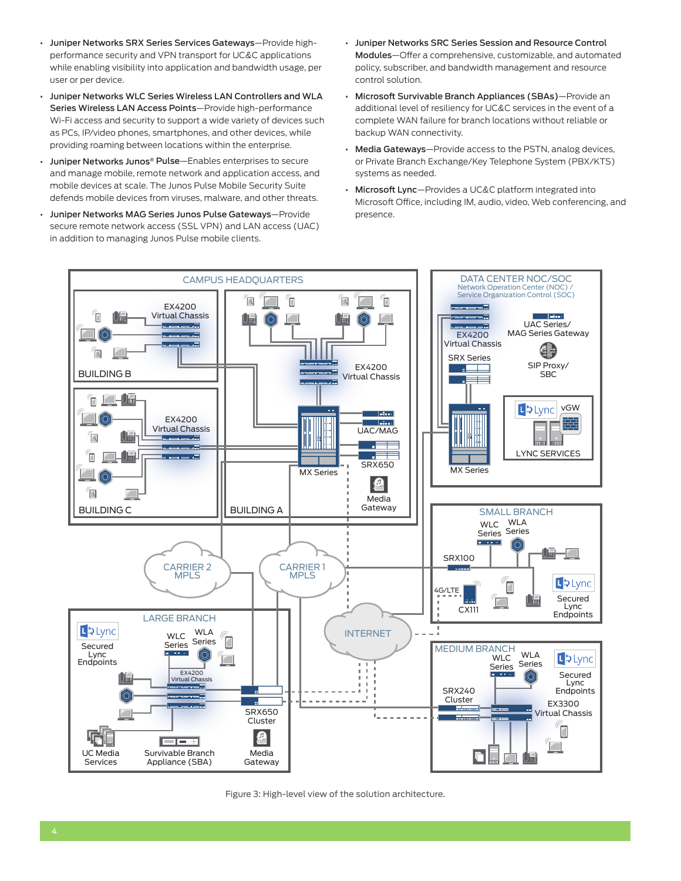- Juniper Networks SRX Series Services Gateways—Provide highperformance security and VPN transport for UC&C applications while enabling visibility into application and bandwidth usage, per user or per device.
- Juniper Networks WLC Series Wireless LAN Controllers and WLA Series Wireless LAN Access Points—Provide high-performance Wi-Fi access and security to support a wide variety of devices such as PCs, IP/video phones, smartphones, and other devices, while providing roaming between locations within the enterprise.
- Juniper Networks Junos® Pulse—Enables enterprises to secure and manage mobile, remote network and application access, and mobile devices at scale. The Junos Pulse Mobile Security Suite defends mobile devices from viruses, malware, and other threats.
- Juniper Networks MAG Series Junos Pulse Gateways—Provide secure remote network access (SSL VPN) and LAN access (UAC) in addition to managing Junos Pulse mobile clients.
- Juniper Networks SRC Series Session and Resource Control Modules—Offer a comprehensive, customizable, and automated policy, subscriber, and bandwidth management and resource control solution.
- Microsoft Survivable Branch Appliances (SBAs)—Provide an additional level of resiliency for UC&C services in the event of a complete WAN failure for branch locations without reliable or backup WAN connectivity.
- Media Gateways—Provide access to the PSTN, analog devices, or Private Branch Exchange/Key Telephone System (PBX/KTS) systems as needed.
- Microsoft Lync—Provides a UC&C platform integrated into Microsoft Office, including IM, audio, video, Web conferencing, and presence.



Figure 3: High-level view of the solution architecture.